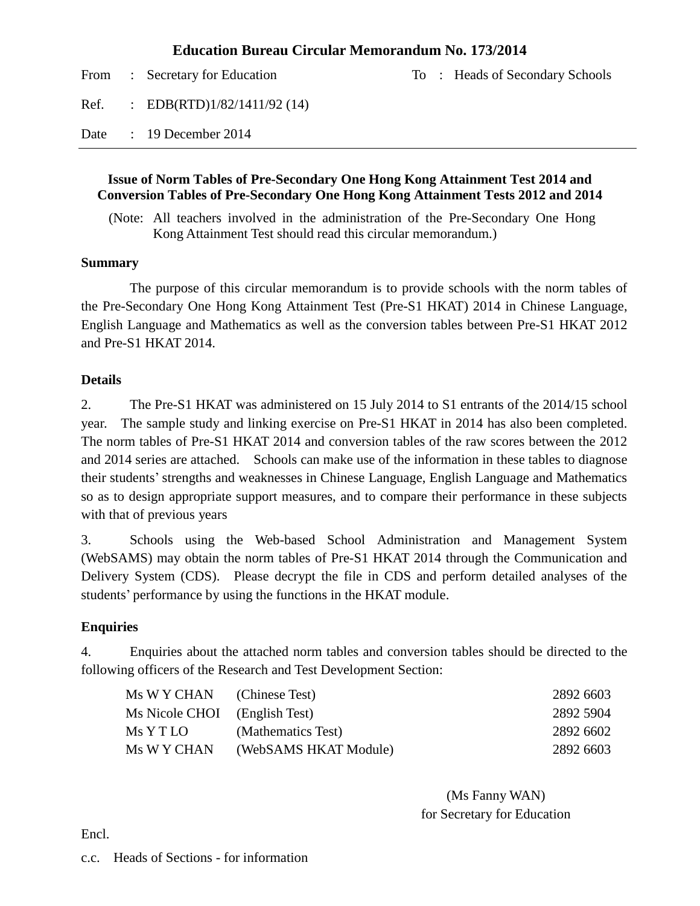#### **Education Bureau Circular Memorandum No. 173/2014**

|      | From : Secretary for Education |  | To : Heads of Secondary Schools |
|------|--------------------------------|--|---------------------------------|
| Ref. | : EDB(RTD) $1/82/1411/92$ (14) |  |                                 |
| Date | $\therefore$ 19 December 2014  |  |                                 |

#### **Issue of Norm Tables of Pre-Secondary One Hong Kong Attainment Test 2014 and Conversion Tables of Pre-Secondary One Hong Kong Attainment Tests 2012 and 2014**

(Note: All teachers involved in the administration of the Pre-Secondary One Hong Kong Attainment Test should read this circular memorandum.)

#### **Summary**

The purpose of this circular memorandum is to provide schools with the norm tables of the Pre-Secondary One Hong Kong Attainment Test (Pre-S1 HKAT) 2014 in Chinese Language, English Language and Mathematics as well as the conversion tables between Pre-S1 HKAT 2012 and Pre-S1 HKAT 2014.

#### **Details**

2. The Pre-S1 HKAT was administered on 15 July 2014 to S1 entrants of the 2014/15 school year. The sample study and linking exercise on Pre-S1 HKAT in 2014 has also been completed. The norm tables of Pre-S1 HKAT 2014 and conversion tables of the raw scores between the 2012 and 2014 series are attached. Schools can make use of the information in these tables to diagnose their students' strengths and weaknesses in Chinese Language, English Language and Mathematics so as to design appropriate support measures, and to compare their performance in these subjects with that of previous years

3. Schools using the Web-based School Administration and Management System (WebSAMS) may obtain the norm tables of Pre-S1 HKAT 2014 through the Communication and Delivery System (CDS). Please decrypt the file in CDS and perform detailed analyses of the students' performance by using the functions in the HKAT module.

#### **Enquiries**

4. Enquiries about the attached norm tables and conversion tables should be directed to the following officers of the Research and Test Development Section:

| Ms W Y CHAN (Chinese Test)    |                       | 2892 6603 |
|-------------------------------|-----------------------|-----------|
| Ms Nicole CHOI (English Test) |                       | 2892 5904 |
| Ms Y T LO                     | (Mathematics Test)    | 2892 6602 |
| Ms W Y CHAN                   | (WebSAMS HKAT Module) | 2892 6603 |

(Ms Fanny WAN) for Secretary for Education

Encl.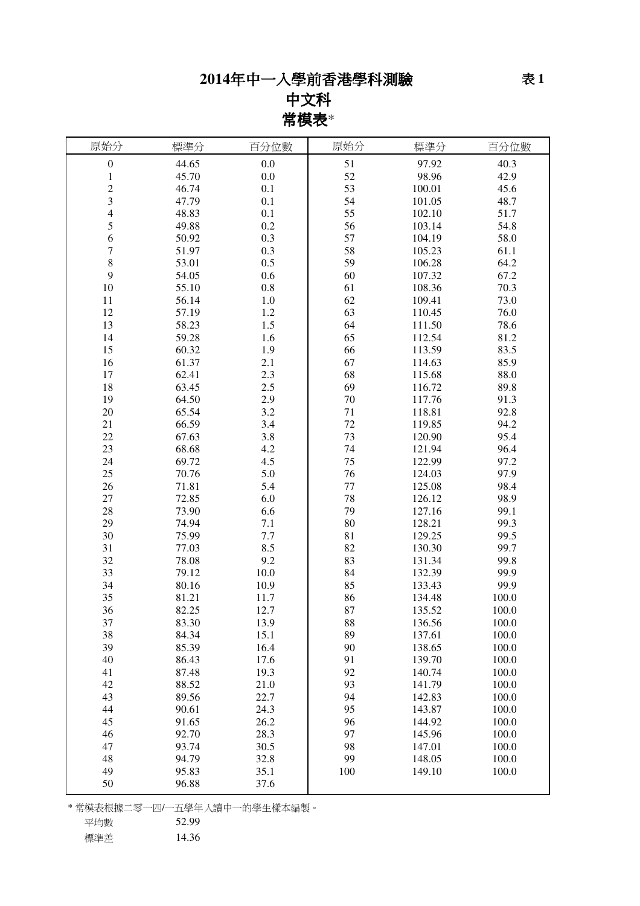# 年中一入學前香港學科測驗

# 中文科 常模表\*

| 原始分              | 標準分   | 百分位數    | 原始分 | 標準分    | 百分位數  |
|------------------|-------|---------|-----|--------|-------|
| $\boldsymbol{0}$ | 44.65 | 0.0     | 51  | 97.92  | 40.3  |
| $\mathbf 1$      | 45.70 | 0.0     | 52  | 98.96  | 42.9  |
| $\overline{c}$   | 46.74 | 0.1     | 53  | 100.01 | 45.6  |
| 3                | 47.79 | 0.1     | 54  | 101.05 | 48.7  |
| 4                | 48.83 | 0.1     | 55  | 102.10 | 51.7  |
| 5                | 49.88 | 0.2     | 56  | 103.14 | 54.8  |
| 6                | 50.92 | 0.3     | 57  | 104.19 | 58.0  |
| 7                | 51.97 | 0.3     | 58  | 105.23 | 61.1  |
| 8                | 53.01 | 0.5     | 59  | 106.28 | 64.2  |
| 9                | 54.05 | 0.6     | 60  | 107.32 | 67.2  |
| 10               | 55.10 | $0.8\,$ | 61  | 108.36 | 70.3  |
| 11               | 56.14 | $1.0\,$ | 62  | 109.41 | 73.0  |
| 12               | 57.19 | $1.2\,$ | 63  | 110.45 | 76.0  |
| 13               | 58.23 | 1.5     | 64  | 111.50 | 78.6  |
| 14               | 59.28 | 1.6     | 65  | 112.54 | 81.2  |
| 15               | 60.32 | 1.9     | 66  | 113.59 | 83.5  |
| 16               | 61.37 | 2.1     | 67  | 114.63 | 85.9  |
| 17               | 62.41 | 2.3     | 68  | 115.68 | 88.0  |
| 18               | 63.45 | 2.5     | 69  | 116.72 | 89.8  |
| 19               | 64.50 | 2.9     | 70  | 117.76 | 91.3  |
| 20               | 65.54 | 3.2     | 71  | 118.81 | 92.8  |
| 21               | 66.59 | 3.4     | 72  | 119.85 | 94.2  |
| 22               | 67.63 | 3.8     | 73  | 120.90 | 95.4  |
| 23               | 68.68 | 4.2     | 74  | 121.94 | 96.4  |
| 24               | 69.72 | 4.5     | 75  | 122.99 | 97.2  |
| 25               | 70.76 | 5.0     | 76  | 124.03 | 97.9  |
| 26               | 71.81 | 5.4     | 77  | 125.08 | 98.4  |
| 27               | 72.85 | 6.0     | 78  | 126.12 | 98.9  |
| 28               | 73.90 | 6.6     | 79  | 127.16 | 99.1  |
| 29               | 74.94 | 7.1     | 80  | 128.21 | 99.3  |
| 30               | 75.99 | 7.7     | 81  | 129.25 | 99.5  |
| 31               | 77.03 | 8.5     | 82  | 130.30 | 99.7  |
| 32               | 78.08 | 9.2     | 83  | 131.34 | 99.8  |
| 33               | 79.12 | 10.0    | 84  | 132.39 | 99.9  |
| 34               | 80.16 | 10.9    | 85  | 133.43 | 99.9  |
| 35               | 81.21 | 11.7    | 86  | 134.48 | 100.0 |
| 36               | 82.25 | 12.7    | 87  | 135.52 | 100.0 |
| 37               | 83.30 | 13.9    | 88  | 136.56 | 100.0 |
| 38               | 84.34 | 15.1    | 89  | 137.61 | 100.0 |
| 39               | 85.39 | 16.4    | 90  | 138.65 | 100.0 |
| 40               | 86.43 | 17.6    | 91  | 139.70 | 100.0 |
| 41               | 87.48 | 19.3    | 92  | 140.74 | 100.0 |
| 42               | 88.52 | 21.0    | 93  | 141.79 | 100.0 |
| 43               | 89.56 | 22.7    | 94  | 142.83 | 100.0 |
| 44               | 90.61 | 24.3    | 95  | 143.87 | 100.0 |
| 45               | 91.65 | 26.2    | 96  | 144.92 | 100.0 |
| 46               | 92.70 | 28.3    | 97  | 145.96 | 100.0 |
| 47               | 93.74 | 30.5    | 98  | 147.01 | 100.0 |
| 48               | 94.79 | 32.8    | 99  | 148.05 | 100.0 |
| 49               | 95.83 | 35.1    | 100 | 149.10 | 100.0 |
| 50               | 96.88 | 37.6    |     |        |       |

\* 常模表根據二零一四/一五學年入讀中一的學生樣本編製。

平均數 52.99

標準差 14.36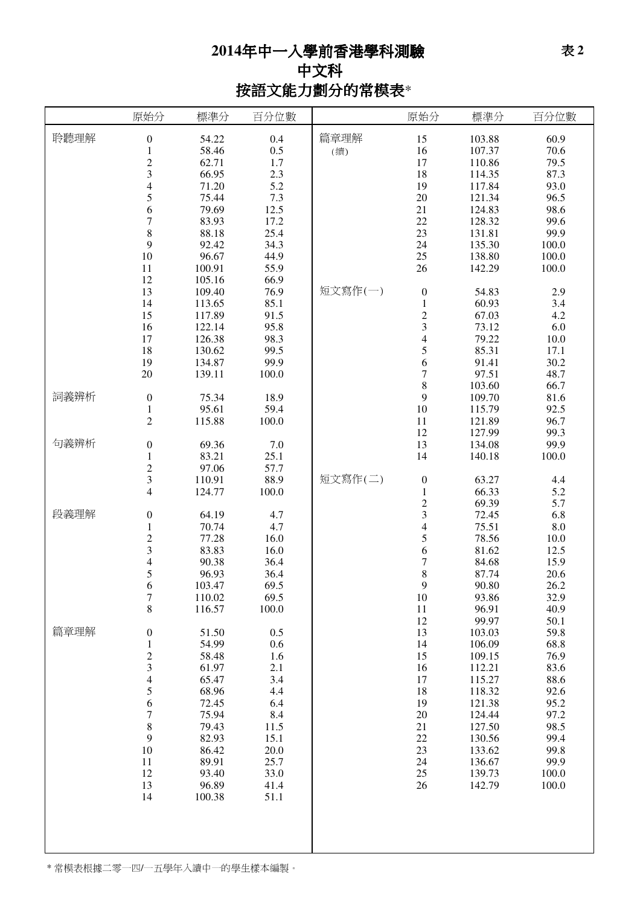# 年中一入學前香港學科測驗 中文科 按語文能力劃分的常模表\*

|      | 原始分                                                                          | 標準分                                        | 百分位數                                     |             | 原始分                                                         | 標準分                                  | 百分位數                           |
|------|------------------------------------------------------------------------------|--------------------------------------------|------------------------------------------|-------------|-------------------------------------------------------------|--------------------------------------|--------------------------------|
| 聆聽理解 | $\boldsymbol{0}$<br>$\,1\,$<br>$\overline{c}$<br>3                           | 54.22<br>58.46<br>62.71<br>66.95           | 0.4<br>0.5<br>1.7<br>2.3                 | 篇章理解<br>(續) | 15<br>16<br>17<br>18                                        | 103.88<br>107.37<br>110.86<br>114.35 | 60.9<br>70.6<br>79.5<br>87.3   |
|      | $\overline{4}$<br>5<br>6                                                     | 71.20<br>75.44<br>79.69                    | 5.2<br>7.3<br>12.5                       |             | 19<br>20<br>21                                              | 117.84<br>121.34<br>124.83           | 93.0<br>96.5<br>98.6           |
|      | $\overline{7}$<br>8<br>9                                                     | 83.93<br>88.18<br>92.42                    | 17.2<br>25.4<br>34.3                     |             | 22<br>23<br>24                                              | 128.32<br>131.81<br>135.30           | 99.6<br>99.9<br>100.0          |
|      | 10<br>11<br>12<br>13                                                         | 96.67<br>100.91<br>105.16<br>109.40        | 44.9<br>55.9<br>66.9<br>76.9             | 短文寫作(一)     | 25<br>26<br>$\boldsymbol{0}$                                | 138.80<br>142.29<br>54.83            | 100.0<br>100.0<br>2.9          |
|      | 14<br>15<br>16                                                               | 113.65<br>117.89<br>122.14                 | 85.1<br>91.5<br>95.8                     |             | $\,1\,$<br>$\frac{2}{3}$                                    | 60.93<br>67.03<br>73.12              | 3.4<br>4.2<br>6.0              |
|      | 17<br>18<br>19                                                               | 126.38<br>130.62<br>134.87                 | 98.3<br>99.5<br>99.9                     |             | $\overline{\mathcal{L}}$<br>$\frac{5}{6}$<br>$\overline{7}$ | 79.22<br>85.31<br>91.41              | 10.0<br>17.1<br>30.2           |
| 詞義辨析 | $20\,$<br>$\boldsymbol{0}$<br>$\mathbf{1}$                                   | 139.11<br>75.34<br>95.61                   | 100.0<br>18.9<br>59.4                    |             | 8<br>9<br>10                                                | 97.51<br>103.60<br>109.70<br>115.79  | 48.7<br>66.7<br>81.6<br>92.5   |
| 句義辨析 | $\overline{c}$<br>$\boldsymbol{0}$                                           | 115.88<br>69.36                            | 100.0<br>7.0                             |             | 11<br>12<br>13                                              | 121.89<br>127.99<br>134.08           | 96.7<br>99.3<br>99.9           |
|      | $\mathbf{1}$<br>$\overline{c}$<br>$\mathfrak{Z}$<br>$\overline{\mathcal{A}}$ | 83.21<br>97.06<br>110.91<br>124.77         | 25.1<br>57.7<br>88.9<br>100.0            | 短文寫作(二)     | 14<br>$\boldsymbol{0}$<br>$\,1\,$                           | 140.18<br>63.27<br>66.33             | 100.0<br>4.4<br>5.2            |
| 段義理解 | $\boldsymbol{0}$<br>$\mathbf{1}$                                             | 64.19<br>70.74                             | 4.7<br>4.7                               |             | $\frac{2}{3}$<br>$\overline{4}$                             | 69.39<br>72.45<br>75.51              | 5.7<br>6.8<br>$8.0\,$          |
|      | $\frac{2}{3}$<br>$\overline{4}$                                              | 77.28<br>83.83<br>90.38                    | 16.0<br>16.0<br>36.4                     |             | 5<br>6<br>$\overline{7}$                                    | 78.56<br>81.62<br>84.68              | 10.0<br>12.5<br>15.9           |
|      | 5<br>6<br>$\tau$<br>$8\,$                                                    | 96.93<br>103.47<br>110.02<br>116.57        | 36.4<br>69.5<br>69.5<br>100.0            |             | 8<br>9<br>$10\,$<br>$11\,$                                  | 87.74<br>90.80<br>93.86<br>96.91     | 20.6<br>26.2<br>32.9<br>40.9   |
| 篇章理解 | $\boldsymbol{0}$<br>$\,1\,$<br>$\overline{c}$                                | 51.50<br>54.99<br>58.48                    | 0.5<br>0.6<br>1.6                        |             | 12<br>13<br>14<br>15                                        | 99.97<br>103.03<br>106.09<br>109.15  | 50.1<br>59.8<br>68.8<br>76.9   |
|      | $\overline{\mathbf{3}}$<br>$\overline{\mathcal{A}}$<br>5<br>6                | 61.97<br>65.47<br>68.96<br>72.45           | 2.1<br>3.4<br>4.4<br>6.4                 |             | 16<br>17<br>18<br>19                                        | 112.21<br>115.27<br>118.32<br>121.38 | 83.6<br>88.6<br>92.6<br>95.2   |
|      | $\boldsymbol{7}$<br>$\,$ $\,$<br>$\mathbf{9}$                                | 75.94<br>79.43<br>82.93                    | 8.4<br>11.5<br>15.1                      |             | 20<br>21<br>22                                              | 124.44<br>127.50<br>130.56           | 97.2<br>98.5<br>99.4           |
|      | 10<br>11<br>12<br>13<br>14                                                   | 86.42<br>89.91<br>93.40<br>96.89<br>100.38 | $20.0\,$<br>25.7<br>33.0<br>41.4<br>51.1 |             | 23<br>24<br>25<br>26                                        | 133.62<br>136.67<br>139.73<br>142.79 | 99.8<br>99.9<br>100.0<br>100.0 |
|      |                                                                              |                                            |                                          |             |                                                             |                                      |                                |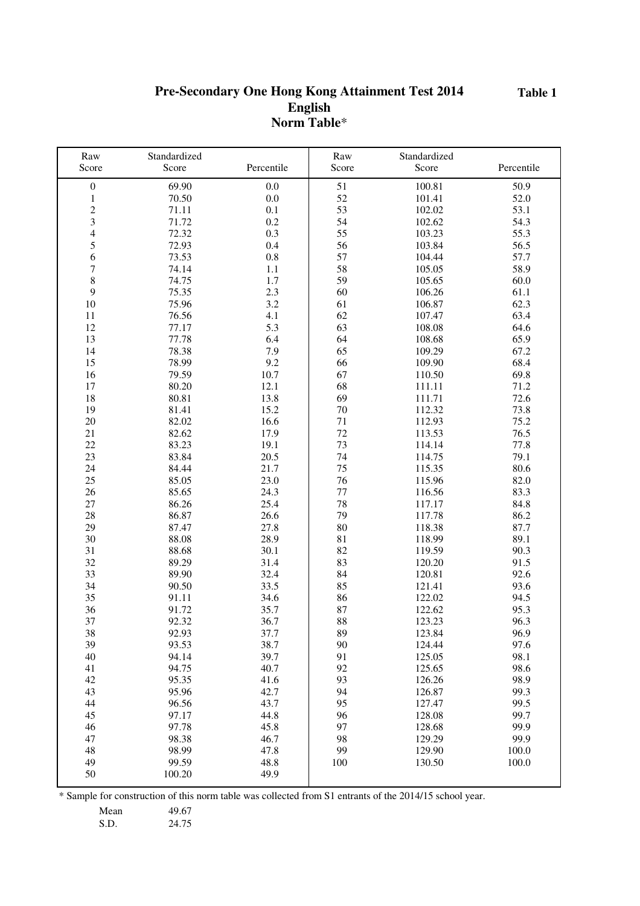**Table 1**

### **Pre-Secondary One Hong Kong Attainment Test 2014 English Norm Table**\*

| Raw                     | Standardized   |              | Raw      | Standardized     |              |
|-------------------------|----------------|--------------|----------|------------------|--------------|
| Score                   | Score          | Percentile   | Score    | Score            | Percentile   |
| $\boldsymbol{0}$        | 69.90          | 0.0          | 51       | 100.81           | 50.9         |
| $\mathbf 1$             | 70.50          | 0.0          | 52       | 101.41           | 52.0         |
| $\overline{\mathbf{c}}$ | 71.11          | 0.1          | 53       | 102.02           | 53.1         |
| $\overline{\mathbf{3}}$ | 71.72          | 0.2          | 54       | 102.62           | 54.3         |
| $\overline{4}$          | 72.32          | 0.3          | 55       | 103.23           | 55.3         |
| 5                       | 72.93          | 0.4          | 56       | 103.84           | 56.5         |
| 6                       | 73.53          | 0.8          | 57       | 104.44           | 57.7         |
| 7                       | 74.14          | 1.1          | 58       | 105.05           | 58.9         |
| 8                       | 74.75          | 1.7          | 59       | 105.65           | 60.0         |
| 9                       | 75.35          | 2.3          | 60       | 106.26           | 61.1         |
| 10                      | 75.96          | 3.2          | 61       | 106.87           | 62.3         |
| 11                      | 76.56          | 4.1          | 62       | 107.47           | 63.4         |
| 12                      | 77.17          | 5.3          | 63       | 108.08           | 64.6         |
| 13                      | 77.78          | 6.4          | 64       | 108.68           | 65.9         |
| 14                      | 78.38          | 7.9          | 65       | 109.29           | 67.2         |
| 15                      | 78.99          | 9.2          | 66       | 109.90           | 68.4         |
| 16                      | 79.59          | 10.7         | 67       | 110.50           | 69.8         |
| 17                      | 80.20          | 12.1         | 68       | 111.11           | 71.2         |
| 18                      | 80.81          | 13.8         | 69       | 111.71           | $72.6\,$     |
| 19                      | 81.41          | 15.2         | 70       | 112.32           | 73.8         |
| 20                      | 82.02          | 16.6         | 71       | 112.93           | 75.2         |
| 21                      | 82.62          | 17.9         | 72       | 113.53           | 76.5         |
| 22                      | 83.23          | 19.1         | 73       | 114.14           | 77.8         |
| 23                      | 83.84          | 20.5         | 74       | 114.75           | 79.1         |
| 24                      | 84.44          | 21.7         | 75       | 115.35           | 80.6         |
| 25                      | 85.05          | 23.0         | 76       | 115.96           | 82.0         |
| 26                      | 85.65          | 24.3         | 77       | 116.56           | 83.3         |
| 27                      | 86.26          | 25.4         | 78       | 117.17           | 84.8         |
| 28                      | 86.87          | 26.6         | 79       | 117.78           | 86.2         |
| 29                      | 87.47          | 27.8         | 80       | 118.38           | 87.7         |
| 30                      | 88.08          | 28.9         | 81       | 118.99           | 89.1         |
| 31                      | 88.68          | 30.1         | 82       | 119.59           | 90.3         |
| 32                      | 89.29          | 31.4         | 83       | 120.20           | 91.5         |
| 33                      | 89.90          | 32.4         | 84       | 120.81           | 92.6         |
| 34                      | 90.50          | 33.5         | 85       | 121.41           | 93.6         |
| 35                      | 91.11<br>91.72 | 34.6         | 86       | 122.02<br>122.62 | 94.5<br>95.3 |
| 36<br>37                |                | 35.7<br>36.7 | 87<br>88 | 123.23           |              |
| 38                      | 92.32<br>92.93 | 37.7         | 89       | 123.84           | 96.3<br>96.9 |
| 39                      |                | 38.7         |          | 124.44           |              |
| 40                      | 93.53<br>94.14 | 39.7         | 90<br>91 | 125.05           | 97.6<br>98.1 |
| 41                      | 94.75          | 40.7         | 92       | 125.65           | 98.6         |
| 42                      | 95.35          | 41.6         | 93       | 126.26           | 98.9         |
| 43                      | 95.96          | 42.7         | 94       | 126.87           | 99.3         |
| 44                      | 96.56          | 43.7         | 95       | 127.47           | 99.5         |
| 45                      | 97.17          | 44.8         | 96       | 128.08           | 99.7         |
| 46                      | 97.78          | 45.8         | 97       | 128.68           | 99.9         |
| $47\,$                  | 98.38          | 46.7         | 98       | 129.29           | 99.9         |
| 48                      | 98.99          | 47.8         | 99       | 129.90           | 100.0        |
| 49                      | 99.59          | 48.8         | 100      | 130.50           | 100.0        |
| 50                      | 100.20         | 49.9         |          |                  |              |
|                         |                |              |          |                  |              |

\* Sample for construction of this norm table was collected from S1 entrants of the 2014/15 school year.

Mean 49.67

S.D. 24.75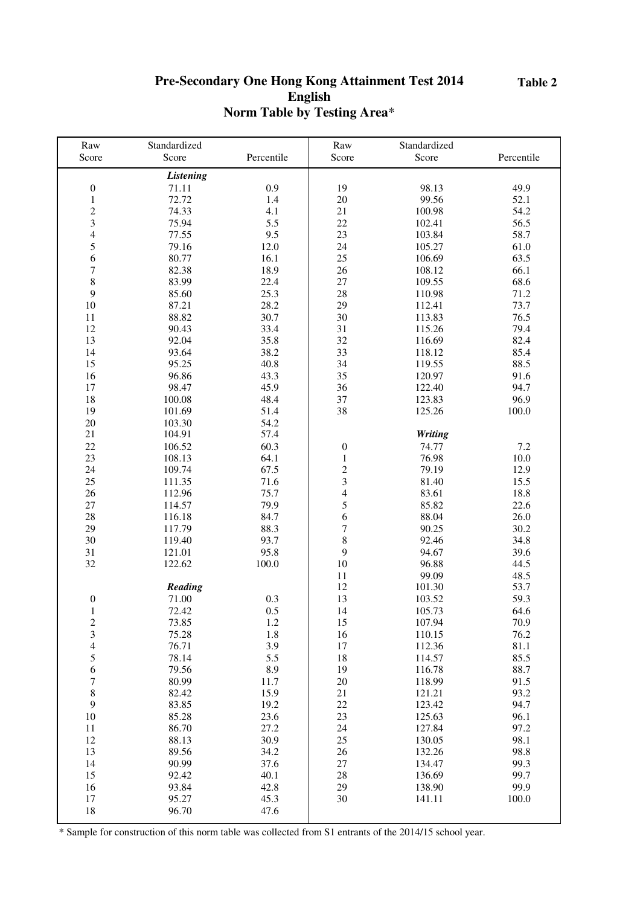#### **Table 2**

## **Pre-Secondary One Hong Kong Attainment Test 2014 English Norm Table by Testing Area**\*

| Raw                     | Standardized     |            | Raw                      | Standardized   |            |
|-------------------------|------------------|------------|--------------------------|----------------|------------|
| Score                   | Score            | Percentile | Score                    | Score          | Percentile |
|                         | <b>Listening</b> |            |                          |                |            |
| $\boldsymbol{0}$        | 71.11            | 0.9        | 19                       | 98.13          | 49.9       |
| $\mathbf{1}$            | 72.72            | 1.4        | 20                       | 99.56          | 52.1       |
| $\overline{c}$          | 74.33            | 4.1        | 21                       | 100.98         | 54.2       |
| $\overline{\mathbf{3}}$ | 75.94            | 5.5        | 22                       | 102.41         | 56.5       |
| $\overline{4}$          | 77.55            | 9.5        | 23                       | 103.84         | 58.7       |
| 5                       | 79.16            | 12.0       | 24                       | 105.27         | 61.0       |
| $\sqrt{6}$              | 80.77            | 16.1       | 25                       | 106.69         | 63.5       |
| $\boldsymbol{7}$        | 82.38            | 18.9       | 26                       | 108.12         | 66.1       |
| 8                       | 83.99            | 22.4       | 27                       | 109.55         | 68.6       |
| 9                       | 85.60            | 25.3       | 28                       | 110.98         | 71.2       |
| 10                      | 87.21            | 28.2       | 29                       | 112.41         | 73.7       |
| 11                      | 88.82            | 30.7       | 30                       | 113.83         | 76.5       |
| 12                      | 90.43            | 33.4       | 31                       | 115.26         | 79.4       |
| 13                      | 92.04            | 35.8       | 32                       |                |            |
|                         |                  |            |                          | 116.69         | 82.4       |
| 14                      | 93.64            | 38.2       | 33                       | 118.12         | 85.4       |
| 15                      | 95.25            | 40.8       | 34                       | 119.55         | 88.5       |
| 16                      | 96.86            | 43.3       | 35                       | 120.97         | 91.6       |
| 17                      | 98.47            | 45.9       | 36                       | 122.40         | 94.7       |
| 18                      | 100.08           | 48.4       | 37                       | 123.83         | 96.9       |
| 19                      | 101.69           | 51.4       | 38                       | 125.26         | 100.0      |
| 20                      | 103.30           | 54.2       |                          |                |            |
| 21                      | 104.91           | 57.4       |                          | <b>Writing</b> |            |
| 22                      | 106.52           | 60.3       | $\boldsymbol{0}$         | 74.77          | 7.2        |
| 23                      | 108.13           | 64.1       | $\mathbf{1}$             | 76.98          | 10.0       |
| 24                      | 109.74           | 67.5       | $\frac{2}{3}$            | 79.19          | 12.9       |
| 25                      | 111.35           | 71.6       |                          | 81.40          | 15.5       |
| 26                      | 112.96           | 75.7       | $\overline{\mathcal{A}}$ | 83.61          | 18.8       |
| 27                      | 114.57           | 79.9       | 5                        | 85.82          | 22.6       |
| 28                      | 116.18           | 84.7       | 6                        | 88.04          | 26.0       |
| 29                      | 117.79           | 88.3       | $\overline{7}$           | 90.25          | 30.2       |
| 30                      | 119.40           | 93.7       | 8                        | 92.46          | 34.8       |
| 31                      | 121.01           | 95.8       | 9                        | 94.67          | 39.6       |
| 32                      | 122.62           | 100.0      | 10                       | 96.88          | 44.5       |
|                         |                  |            | 11                       | 99.09          | 48.5       |
|                         | Reading          |            | 12                       | 101.30         | 53.7       |
| $\boldsymbol{0}$        | 71.00            | 0.3        | 13                       | 103.52         | 59.3       |
| $\mathbf{1}$            | 72.42            | 0.5        | 14                       | 105.73         | 64.6       |
| 2                       | 73.85            | 1.2        | 15                       | 107.94         | 70.9       |
| $\mathfrak{Z}$          | 75.28            | 1.8        | 16                       | 110.15         | 76.2       |
| $\overline{4}$          | 76.71            | 3.9        | 17                       | 112.36         | 81.1       |
| 5                       | 78.14            | 5.5        | 18                       | 114.57         | 85.5       |
| 6                       | 79.56            | 8.9        | 19                       | 116.78         | 88.7       |
| 7                       | 80.99            | 11.7       | 20                       | 118.99         | 91.5       |
| $\,8\,$                 | 82.42            | 15.9       | 21                       | 121.21         | 93.2       |
| 9                       | 83.85            | 19.2       | 22                       | 123.42         | 94.7       |
| 10                      | 85.28            | 23.6       | 23                       | 125.63         | 96.1       |
| $11\,$                  | 86.70            | 27.2       | 24                       | 127.84         | 97.2       |
| 12                      | 88.13            | 30.9       | 25                       | 130.05         | 98.1       |
| 13                      | 89.56            | 34.2       | 26                       | 132.26         | 98.8       |
| 14                      | 90.99            | 37.6       | 27                       | 134.47         | 99.3       |
| 15                      | 92.42            | 40.1       | 28                       | 136.69         | 99.7       |
| 16                      | 93.84            | 42.8       | 29                       | 138.90         | 99.9       |
| 17                      | 95.27            | 45.3       | 30                       | 141.11         | 100.0      |
| 18                      | 96.70            | 47.6       |                          |                |            |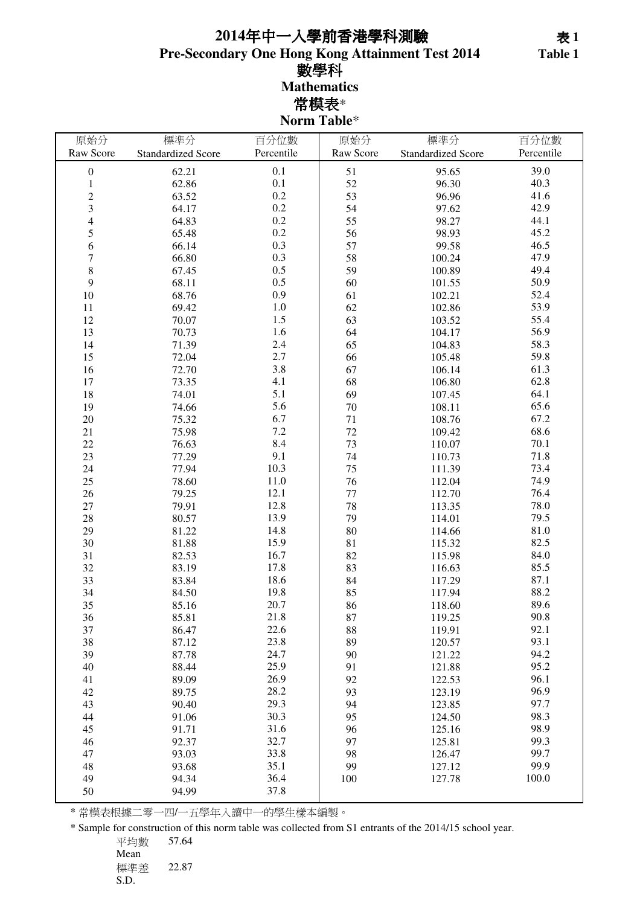## **Pre-Secondary One Hong Kong Attainment Test 2014** 數學科 **Mathematics** 常模表\* **Norm Table**\* 年中一入學前香港學科測驗 表 **1**

| 原始分              | 標準分                       | 百分位數       | 原始分       | 標準分                       | 百分位數       |
|------------------|---------------------------|------------|-----------|---------------------------|------------|
| Raw Score        | <b>Standardized Score</b> | Percentile | Raw Score | <b>Standardized Score</b> | Percentile |
| $\boldsymbol{0}$ | 62.21                     | 0.1        | 51        | 95.65                     | 39.0       |
| $\mathbf{1}$     | 62.86                     | 0.1        | 52        | 96.30                     | 40.3       |
| $\overline{c}$   | 63.52                     | 0.2        | 53        | 96.96                     | 41.6       |
| 3                | 64.17                     | $0.2\,$    | 54        | 97.62                     | 42.9       |
| $\overline{4}$   | 64.83                     | 0.2        | 55        | 98.27                     | 44.1       |
| 5                | 65.48                     | 0.2        | 56        | 98.93                     | 45.2       |
| 6                | 66.14                     | 0.3        | 57        | 99.58                     | 46.5       |
| 7                | 66.80                     | 0.3        | 58        | 100.24                    | 47.9       |
| 8                | 67.45                     | 0.5        | 59        | 100.89                    | 49.4       |
| 9                | 68.11                     | 0.5        | 60        | 101.55                    | 50.9       |
| 10               | 68.76                     | 0.9        | 61        | 102.21                    | 52.4       |
| 11               | 69.42                     | $1.0\,$    | 62        | 102.86                    | 53.9       |
| 12               | 70.07                     | 1.5        | 63        | 103.52                    | 55.4       |
| 13               | 70.73                     | 1.6        | 64        | 104.17                    | 56.9       |
| 14               | 71.39                     | 2.4        | 65        | 104.83                    | 58.3       |
| 15               | 72.04                     | 2.7        | 66        | 105.48                    | 59.8       |
| 16               | 72.70                     | 3.8        | 67        | 106.14                    | 61.3       |
| 17               | 73.35                     | 4.1        | 68        | 106.80                    | 62.8       |
| 18               | 74.01                     | 5.1        | 69        | 107.45                    | 64.1       |
| 19               | 74.66                     | 5.6        | $70\,$    | 108.11                    | 65.6       |
| $20\,$           | 75.32                     | 6.7        | 71        | 108.76                    | 67.2       |
| 21               | 75.98                     | 7.2        | 72        | 109.42                    | 68.6       |
| 22               | 76.63                     | 8.4        | 73        | 110.07                    | 70.1       |
| 23               | 77.29                     | 9.1        | 74        | 110.73                    | 71.8       |
| 24               | 77.94                     | 10.3       | 75        | 111.39                    | 73.4       |
| 25               | 78.60                     | 11.0       | 76        | 112.04                    | 74.9       |
| 26               | 79.25                     | 12.1       | 77        | 112.70                    | 76.4       |
| 27               | 79.91                     | 12.8       | 78        | 113.35                    | 78.0       |
| 28               | 80.57                     | 13.9       | 79        | 114.01                    | 79.5       |
| 29               | 81.22                     | 14.8       | 80        | 114.66                    | 81.0       |
| 30               | 81.88                     | 15.9       | 81        | 115.32                    | 82.5       |
| 31               | 82.53                     | 16.7       | 82        | 115.98                    | 84.0       |
| 32               | 83.19                     | 17.8       | 83        | 116.63                    | 85.5       |
| 33               | 83.84                     | 18.6       | 84        | 117.29                    | 87.1       |
| 34               | 84.50                     | 19.8       | 85        | 117.94                    | 88.2       |
| 35               | 85.16                     | 20.7       | 86        | 118.60                    | 89.6       |
| 36               | 85.81                     | 21.8       | 87        | 119.25                    | 90.8       |
| 37               | 86.47                     | 22.6       | 88        | 119.91                    | 92.1       |
| 38               | 87.12                     | 23.8       | 89        | 120.57                    | 93.1       |
| 39               | 87.78                     | 24.7       | 90        | 121.22                    | 94.2       |
| 40               | 88.44                     | 25.9       | 91        | 121.88                    | 95.2       |
| 41               | 89.09                     | 26.9       | 92        | 122.53                    | 96.1       |
| 42               | 89.75                     | 28.2       | 93        | 123.19                    | 96.9       |
| 43               | 90.40                     | 29.3       | 94        | 123.85                    | 97.7       |
| 44               | 91.06                     | 30.3       | 95        | 124.50                    | 98.3       |
| 45               | 91.71                     | 31.6       | 96        | 125.16                    | 98.9       |
| 46               | 92.37                     | 32.7       | 97        | 125.81                    | 99.3       |
| 47               | 93.03                     | 33.8       | 98        | 126.47                    | 99.7       |
| 48               | 93.68                     | 35.1       | 99        | 127.12                    | 99.9       |
| 49               | 94.34                     | 36.4       | $100\,$   | 127.78                    | 100.0      |
| 50               | 94.99                     | 37.8       |           |                           |            |

\* 常模表根據二零一四/一五學年入讀中一的學生樣本編製。

\* Sample for construction of this norm table was collected from S1 entrants of the 2014/15 school year.

平均數 57.64 Mean 標準差 22.87 S.D.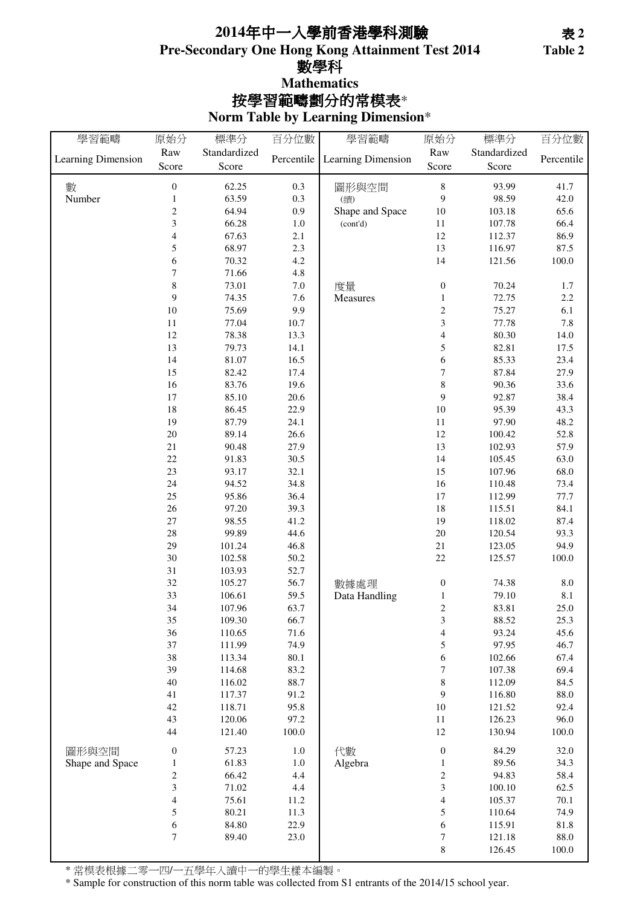## **Pre-Secondary One Hong Kong Attainment Test 2014** 數學科 **Norm Table by Learning Dimension**\* 按學習範疇劃分的常模表\* **Mathematics 2014**年中一入學前香港學科測驗

| 學習範疇               | 原始分                      | 標準分          | 百分位數       | 學習範疇               | 原始分                      | 標準分          | 百分位數       |
|--------------------|--------------------------|--------------|------------|--------------------|--------------------------|--------------|------------|
|                    | Raw                      | Standardized |            |                    | Raw                      | Standardized |            |
| Learning Dimension | Score                    | Score        | Percentile | Learning Dimension | Score                    | Score        | Percentile |
|                    |                          |              |            |                    |                          |              |            |
| 數                  | $\boldsymbol{0}$         | 62.25        | 0.3        | 圖形與空間              | $\,$ 8 $\,$              | 93.99        | 41.7       |
| Number             | $\mathbf{1}$             | 63.59        | 0.3        | (續)                | 9                        | 98.59        | 42.0       |
|                    | $\overline{c}$           | 64.94        | 0.9        | Shape and Space    | 10                       | 103.18       | 65.6       |
|                    | 3                        | 66.28        | $1.0\,$    | (cont'd)           | 11                       | 107.78       | 66.4       |
|                    | $\overline{\mathcal{L}}$ | 67.63        | $2.1\,$    |                    | 12                       | 112.37       | 86.9       |
|                    | 5                        | 68.97        | 2.3        |                    | 13                       | 116.97       | 87.5       |
|                    | 6                        | 70.32        | 4.2        |                    | 14                       | 121.56       | $100.0\,$  |
|                    | 7                        | 71.66        | 4.8        |                    |                          |              |            |
|                    | 8                        | 73.01        | $7.0\,$    | 度量                 | $\boldsymbol{0}$         | 70.24        | 1.7        |
|                    | 9                        | 74.35        | 7.6        | Measures           | $\,1\,$                  | 72.75        | 2.2        |
|                    | $10\,$                   | 75.69        | 9.9        |                    | $\boldsymbol{2}$         | 75.27        | 6.1        |
|                    | $11\,$                   | 77.04        | 10.7       |                    | $\overline{\mathbf{3}}$  | 77.78        | 7.8        |
|                    | 12                       | 78.38        | 13.3       |                    | $\overline{4}$           | 80.30        | 14.0       |
|                    | 13                       | 79.73        | 14.1       |                    | 5                        | 82.81        | 17.5       |
|                    | 14                       | 81.07        | 16.5       |                    | 6                        | 85.33        | 23.4       |
|                    | 15                       | 82.42        | 17.4       |                    | $\overline{7}$           | 87.84        | 27.9       |
|                    | 16                       | 83.76        | 19.6       |                    | $\,$ 8 $\,$              | 90.36        | 33.6       |
|                    | 17                       | 85.10        | 20.6       |                    | 9                        | 92.87        | 38.4       |
|                    | 18                       | 86.45        | 22.9       |                    | 10                       | 95.39        | 43.3       |
|                    | 19                       | 87.79        | 24.1       |                    | 11                       | 97.90        | 48.2       |
|                    | $20\,$                   | 89.14        | 26.6       |                    | $12\,$                   | 100.42       | 52.8       |
|                    | $21\,$                   | 90.48        | 27.9       |                    | 13                       | 102.93       | 57.9       |
|                    | 22                       | 91.83        | 30.5       |                    | 14                       | 105.45       | 63.0       |
|                    | 23                       | 93.17        | 32.1       |                    | 15                       | 107.96       | 68.0       |
|                    | 24                       | 94.52        | 34.8       |                    | 16                       | 110.48       | 73.4       |
|                    | 25                       | 95.86        | 36.4       |                    | 17                       | 112.99       | 77.7       |
|                    | $26\,$                   | 97.20        | 39.3       |                    | 18                       | 115.51       | 84.1       |
|                    | $27\,$                   | 98.55        | 41.2       |                    | 19                       | 118.02       | 87.4       |
|                    | 28                       | 99.89        | 44.6       |                    | 20                       | 120.54       | 93.3       |
|                    | 29                       | 101.24       | 46.8       |                    | 21                       | 123.05       | 94.9       |
|                    | 30                       | 102.58       | 50.2       |                    | $22\,$                   | 125.57       | 100.0      |
|                    | 31                       | 103.93       | 52.7       |                    |                          |              |            |
|                    | 32                       | 105.27       | 56.7       | 數據處理               | $\boldsymbol{0}$         | 74.38        | $\ \, 8.0$ |
|                    | 33                       | 106.61       | 59.5       | Data Handling      | $\,1$                    | 79.10        | $8.1\,$    |
|                    | 34                       | 107.96       | 63.7       |                    | $\overline{c}$           | 83.81        | 25.0       |
|                    | 35                       | 109.30       | 66.7       |                    | $\mathfrak{Z}$           | 88.52        | 25.3       |
|                    | 36                       | 110.65       | 71.6       |                    | $\overline{\mathcal{L}}$ | 93.24        | 45.6       |
|                    | 37                       | 111.99       | 74.9       |                    | 5                        | 97.95        | 46.7       |
|                    | 38                       | 113.34       | 80.1       |                    | 6                        | 102.66       | 67.4       |
|                    | 39                       | 114.68       | 83.2       |                    | $\boldsymbol{7}$         | 107.38       | 69.4       |
|                    | 40                       | 116.02       | 88.7       |                    | $\,$ 8 $\,$              | 112.09       | 84.5       |
|                    | 41                       |              | 91.2       |                    | 9                        |              | 88.0       |
|                    |                          | 117.37       |            |                    |                          | 116.80       |            |
|                    | 42                       | 118.71       | 95.8       |                    | 10                       | 121.52       | 92.4       |
|                    | 43                       | 120.06       | 97.2       |                    | 11                       | 126.23       | 96.0       |
|                    | 44                       | 121.40       | 100.0      |                    | 12                       | 130.94       | 100.0      |
| 圖形與空間              | $\boldsymbol{0}$         | 57.23        | $1.0\,$    | 代數                 | $\boldsymbol{0}$         | 84.29        | 32.0       |
| Shape and Space    | $\mathbf{1}$             | 61.83        | $1.0\,$    | Algebra            | $\,1\,$                  | 89.56        | 34.3       |
|                    | $\overline{c}$           | 66.42        | 4.4        |                    | $\overline{c}$           | 94.83        | 58.4       |
|                    | 3                        | 71.02        | 4.4        |                    | 3                        | 100.10       | 62.5       |
|                    | $\overline{\mathcal{L}}$ | 75.61        | 11.2       |                    | $\overline{\mathbf{4}}$  | 105.37       | 70.1       |
|                    | 5                        | 80.21        | 11.3       |                    | 5                        | 110.64       | 74.9       |
|                    | 6                        | 84.80        | 22.9       |                    | 6                        | 115.91       | $81.8\,$   |
|                    | $\boldsymbol{7}$         | 89.40        | 23.0       |                    | $\sqrt{ }$               | 121.18       | 88.0       |
|                    |                          |              |            |                    | $\,8\,$                  | 126.45       | $100.0\,$  |

\* 常模表根據二零一四/一五學年入讀中一的學生樣本編製。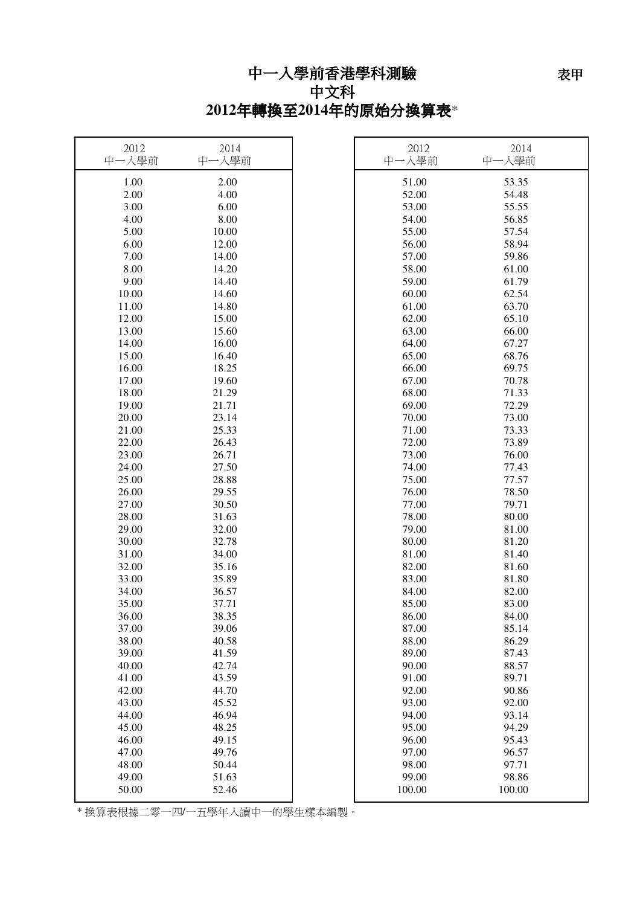## 中文科 **2012**年轉換至**2014**年的原始分換算表\*

| 2012<br>中一入學前 | 2014<br>中一入學前 | 2012<br>中一入學前 | 2014<br>中一入學前 |
|---------------|---------------|---------------|---------------|
| 1.00          | 2.00          | 51.00         | 53.35         |
| 2.00          | 4.00          | 52.00         | 54.48         |
| 3.00          | 6.00          | 53.00         | 55.55         |
| 4.00          | 8.00          | 54.00         | 56.85         |
| 5.00          | 10.00         | 55.00         | 57.54         |
| 6.00          | 12.00         | 56.00         | 58.94         |
| 7.00          | 14.00         | 57.00         | 59.86         |
| 8.00          | 14.20         | 58.00         | 61.00         |
| 9.00          | 14.40         | 59.00         | 61.79         |
| 10.00         | 14.60         | 60.00         | 62.54         |
| 11.00         | 14.80         | 61.00         | 63.70         |
| 12.00         | 15.00         | 62.00         | 65.10         |
| 13.00         | 15.60         | 63.00         | 66.00         |
| 14.00         | 16.00         | 64.00         | 67.27         |
| 15.00         | 16.40         | 65.00         | 68.76         |
| 16.00         | 18.25         | 66.00         | 69.75         |
| 17.00         | 19.60         | 67.00         | 70.78         |
| 18.00         | 21.29         | 68.00         | 71.33         |
| 19.00         | 21.71         | 69.00         | 72.29         |
| 20.00         | 23.14         | 70.00         | 73.00         |
| 21.00         | 25.33         | 71.00         | 73.33         |
| 22.00         | 26.43         | 72.00         | 73.89         |
| 23.00         | 26.71         | 73.00         | 76.00         |
| 24.00         | 27.50         | 74.00         | 77.43         |
| 25.00         | 28.88         | 75.00         | 77.57         |
| 26.00         | 29.55         | 76.00         | 78.50         |
| 27.00         | 30.50         | 77.00         | 79.71         |
| 28.00         | 31.63         | 78.00         | 80.00         |
| 29.00         | 32.00         | 79.00         | 81.00         |
| 30.00         | 32.78         | 80.00         | 81.20         |
| 31.00         | 34.00         | 81.00         | 81.40         |
| 32.00         | 35.16         | 82.00         | 81.60         |
| 33.00         | 35.89         | 83.00         | 81.80         |
| 34.00         | 36.57         | 84.00         | 82.00         |
| 35.00         | 37.71         | 85.00         | 83.00         |
| 36.00         | 38.35         | 86.00         | 84.00         |
| 37.00         | 39.06         | 87.00         | 85.14         |
| 38.00         | 40.58         | 88.00         | 86.29         |
| 39.00         | 41.59         | 89.00         | 87.43         |
| 40.00         | 42.74         | 90.00         | 88.57         |
| 41.00         | 43.59         | 91.00         | 89.71         |
| 42.00         | 44.70         | 92.00         | 90.86         |
| 43.00         | 45.52         | 93.00         | 92.00         |
| 44.00         | 46.94         | 94.00         | 93.14         |
| 45.00         | 48.25         | 95.00         | 94.29         |
| 46.00         | 49.15         | 96.00         | 95.43         |
| 47.00         | 49.76         | 97.00         | 96.57         |
| 48.00         | 50.44         | 98.00         | 97.71         |
| 49.00         | 51.63         | 99.00         | 98.86         |
| 50.00         | 52.46         | 100.00        | 100.00        |

————————————————————<br>\* 換算表根據二零一四/一五學年入讀中一的學生樣本編製。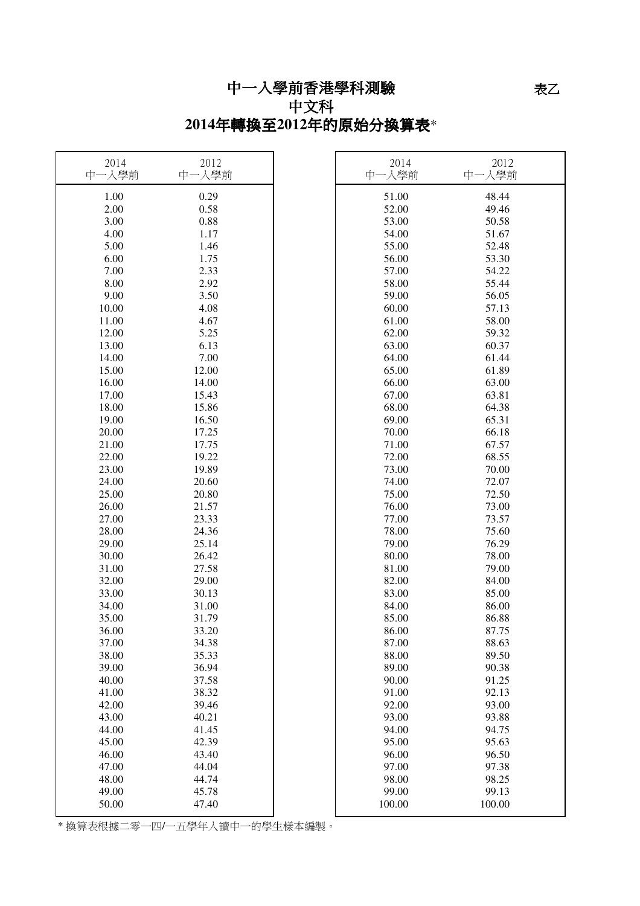# 中一入學前香港學科測驗 中文科

# **2014**年轉換至**2012**年的原始分換算表\*

| 2014<br>中一入學前 | 2012<br>中一入學前 | 2014<br>中一入學前 | 2012<br>中一入學前 |
|---------------|---------------|---------------|---------------|
| 1.00          | 0.29          | 51.00         | 48.44         |
| 2.00          | 0.58          | 52.00         | 49.46         |
| 3.00          | 0.88          | 53.00         | 50.58         |
| 4.00          | 1.17          | 54.00         | 51.67         |
| 5.00          | 1.46          | 55.00         | 52.48         |
| 6.00          | 1.75          | 56.00         | 53.30         |
| 7.00          | 2.33          | 57.00         | 54.22         |
| 8.00          | 2.92          | 58.00         | 55.44         |
| 9.00          | 3.50          | 59.00         | 56.05         |
| 10.00         | 4.08          | 60.00         | 57.13         |
| 11.00         | 4.67          | 61.00         | 58.00         |
| 12.00         | 5.25          | 62.00         | 59.32         |
| 13.00         | 6.13          | 63.00         | 60.37         |
| 14.00         | 7.00          | 64.00         | 61.44         |
| 15.00         | 12.00         | 65.00         | 61.89         |
| 16.00         | 14.00         | 66.00         | 63.00         |
| 17.00         | 15.43         | 67.00         | 63.81         |
| 18.00         | 15.86         | 68.00         | 64.38         |
| 19.00         | 16.50         | 69.00         | 65.31         |
| 20.00         | 17.25         | 70.00         | 66.18         |
| 21.00         | 17.75         | 71.00         | 67.57         |
| 22.00         | 19.22         | 72.00         | 68.55         |
| 23.00         | 19.89         | 73.00         | 70.00         |
| 24.00         | 20.60         | 74.00         | 72.07         |
| 25.00         | 20.80         | 75.00         | 72.50         |
| 26.00         | 21.57         | 76.00         | 73.00         |
| 27.00         | 23.33         | 77.00         | 73.57         |
| 28.00         | 24.36         | 78.00         | 75.60         |
| 29.00         | 25.14         | 79.00         | 76.29         |
| 30.00         | 26.42         | 80.00         | 78.00         |
| 31.00         | 27.58         | 81.00         | 79.00         |
| 32.00         | 29.00         | 82.00         | 84.00         |
| 33.00         | 30.13         | 83.00         | 85.00         |
| 34.00         | 31.00         | 84.00         | 86.00         |
| 35.00         | 31.79         | 85.00         | 86.88         |
| 36.00         | 33.20         | 86.00         | 87.75         |
| 37.00         | 34.38         | 87.00         | 88.63         |
| 38.00         | 35.33         | 88.00         | 89.50         |
| 39.00         | 36.94         | 89.00         | 90.38         |
| 40.00         | 37.58         | 90.00         | 91.25         |
| 41.00         | 38.32         | 91.00         | 92.13         |
| 42.00         | 39.46         | 92.00         | 93.00         |
| 43.00         | 40.21         | 93.00         | 93.88         |
| 44.00         | 41.45         | 94.00         | 94.75         |
| 45.00         | 42.39         | 95.00         | 95.63         |
| 46.00         | 43.40         | 96.00         | 96.50         |
| 47.00         | 44.04         | 97.00         | 97.38         |
| 48.00         | 44.74         | 98.00         | 98.25         |
| 49.00         | 45.78         | 99.00         | 99.13         |
| 50.00         | 47.40         | 100.00        | 100.00        |
|               |               |               |               |

————————————————————<br>\* 換算表根據二零一四/一五學年入讀中一的學生樣本編製。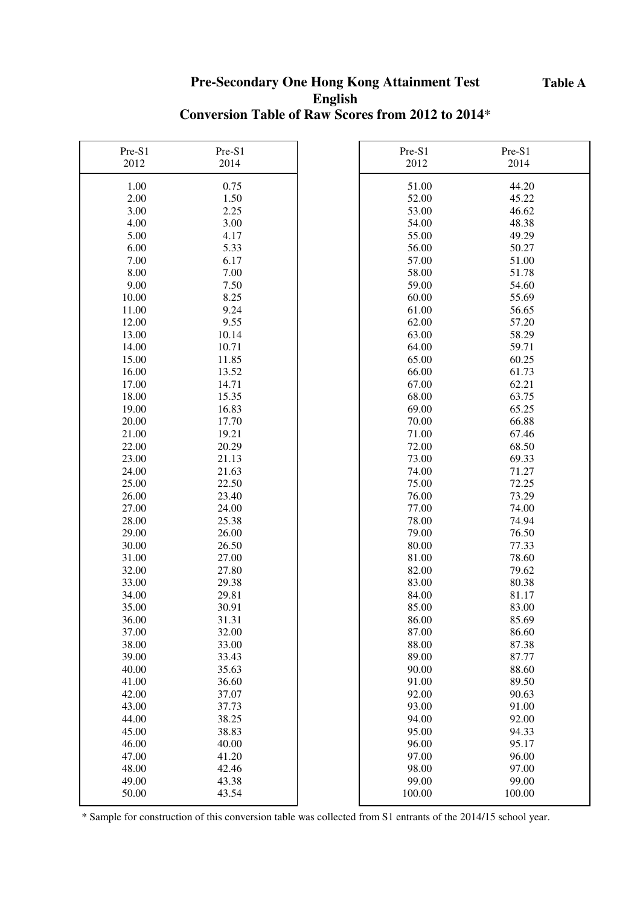#### **Table A**

## **Pre-Secondary One Hong Kong Attainment Test English Conversion Table of Raw Scores from 2012 to 2014**\*

| Pre-S1 | Pre-S1 | Pre-S1 | Pre-S1 |
|--------|--------|--------|--------|
| 2012   | 2014   | 2012   | 2014   |
| 1.00   | 0.75   | 51.00  | 44.20  |
| 2.00   | 1.50   | 52.00  | 45.22  |
| 3.00   | 2.25   | 53.00  | 46.62  |
| 4.00   | 3.00   | 54.00  | 48.38  |
| 5.00   | 4.17   | 55.00  | 49.29  |
| 6.00   | 5.33   | 56.00  | 50.27  |
| 7.00   | 6.17   | 57.00  | 51.00  |
| 8.00   | 7.00   | 58.00  | 51.78  |
| 9.00   | 7.50   | 59.00  | 54.60  |
| 10.00  | 8.25   | 60.00  | 55.69  |
| 11.00  | 9.24   | 61.00  | 56.65  |
| 12.00  | 9.55   | 62.00  | 57.20  |
| 13.00  | 10.14  | 63.00  | 58.29  |
| 14.00  | 10.71  | 64.00  | 59.71  |
| 15.00  | 11.85  | 65.00  | 60.25  |
| 16.00  | 13.52  | 66.00  | 61.73  |
| 17.00  | 14.71  | 67.00  | 62.21  |
| 18.00  | 15.35  | 68.00  | 63.75  |
| 19.00  | 16.83  | 69.00  | 65.25  |
| 20.00  | 17.70  | 70.00  | 66.88  |
| 21.00  | 19.21  | 71.00  | 67.46  |
| 22.00  | 20.29  | 72.00  | 68.50  |
| 23.00  | 21.13  | 73.00  | 69.33  |
| 24.00  | 21.63  | 74.00  | 71.27  |
| 25.00  | 22.50  | 75.00  | 72.25  |
| 26.00  | 23.40  | 76.00  | 73.29  |
| 27.00  | 24.00  | 77.00  | 74.00  |
| 28.00  | 25.38  | 78.00  | 74.94  |
| 29.00  | 26.00  | 79.00  | 76.50  |
| 30.00  | 26.50  | 80.00  | 77.33  |
| 31.00  | 27.00  | 81.00  | 78.60  |
| 32.00  | 27.80  | 82.00  | 79.62  |
| 33.00  | 29.38  | 83.00  | 80.38  |
| 34.00  | 29.81  | 84.00  | 81.17  |
| 35.00  | 30.91  | 85.00  | 83.00  |
| 36.00  | 31.31  | 86.00  | 85.69  |
| 37.00  | 32.00  | 87.00  | 86.60  |
| 38.00  | 33.00  | 88.00  | 87.38  |
| 39.00  | 33.43  | 89.00  | 87.77  |
| 40.00  | 35.63  | 90.00  | 88.60  |
| 41.00  | 36.60  | 91.00  | 89.50  |
| 42.00  | 37.07  | 92.00  | 90.63  |
| 43.00  | 37.73  | 93.00  | 91.00  |
| 44.00  | 38.25  | 94.00  | 92.00  |
| 45.00  | 38.83  | 95.00  | 94.33  |
| 46.00  | 40.00  | 96.00  | 95.17  |
| 47.00  | 41.20  | 97.00  | 96.00  |
| 48.00  | 42.46  | 98.00  | 97.00  |
| 49.00  | 43.38  | 99.00  | 99.00  |
| 50.00  | 43.54  | 100.00 | 100.00 |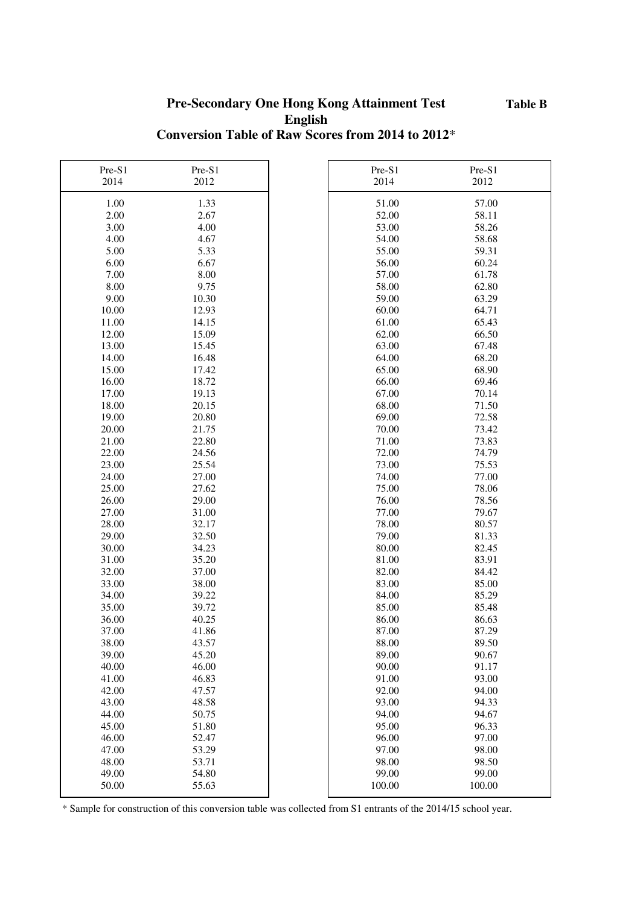#### **Pre-Secondary One Hong Kong Attainment Test English Conversion Table of Raw Scores from 2014 to 2012**\*

| Pre-S1 | Pre-S1 | Pre-S1 | Pre-S1 |
|--------|--------|--------|--------|
| 2014   | 2012   | 2014   | 2012   |
|        |        |        |        |
| 1.00   | 1.33   | 51.00  | 57.00  |
| 2.00   | 2.67   | 52.00  | 58.11  |
| 3.00   | 4.00   | 53.00  | 58.26  |
| 4.00   | 4.67   | 54.00  | 58.68  |
| 5.00   | 5.33   | 55.00  | 59.31  |
| 6.00   | 6.67   | 56.00  | 60.24  |
| 7.00   | 8.00   | 57.00  | 61.78  |
| 8.00   | 9.75   | 58.00  | 62.80  |
| 9.00   | 10.30  | 59.00  | 63.29  |
| 10.00  | 12.93  | 60.00  | 64.71  |
| 11.00  | 14.15  | 61.00  | 65.43  |
| 12.00  | 15.09  | 62.00  | 66.50  |
| 13.00  | 15.45  | 63.00  | 67.48  |
| 14.00  | 16.48  | 64.00  | 68.20  |
| 15.00  | 17.42  | 65.00  | 68.90  |
| 16.00  | 18.72  | 66.00  | 69.46  |
| 17.00  | 19.13  | 67.00  | 70.14  |
| 18.00  | 20.15  | 68.00  | 71.50  |
| 19.00  | 20.80  | 69.00  | 72.58  |
| 20.00  | 21.75  | 70.00  | 73.42  |
| 21.00  | 22.80  | 71.00  | 73.83  |
| 22.00  | 24.56  | 72.00  | 74.79  |
| 23.00  | 25.54  | 73.00  | 75.53  |
| 24.00  | 27.00  | 74.00  | 77.00  |
| 25.00  | 27.62  | 75.00  | 78.06  |
| 26.00  | 29.00  | 76.00  | 78.56  |
| 27.00  | 31.00  | 77.00  | 79.67  |
| 28.00  | 32.17  | 78.00  | 80.57  |
| 29.00  | 32.50  | 79.00  | 81.33  |
| 30.00  | 34.23  | 80.00  | 82.45  |
| 31.00  | 35.20  | 81.00  | 83.91  |
| 32.00  | 37.00  | 82.00  | 84.42  |
| 33.00  | 38.00  | 83.00  | 85.00  |
| 34.00  | 39.22  | 84.00  | 85.29  |
| 35.00  | 39.72  | 85.00  | 85.48  |
| 36.00  | 40.25  | 86.00  | 86.63  |
| 37.00  | 41.86  | 87.00  | 87.29  |
| 38.00  | 43.57  | 88.00  | 89.50  |
| 39.00  | 45.20  | 89.00  | 90.67  |
| 40.00  | 46.00  | 90.00  | 91.17  |
| 41.00  | 46.83  | 91.00  | 93.00  |
| 42.00  | 47.57  | 92.00  | 94.00  |
| 43.00  | 48.58  | 93.00  | 94.33  |
| 44.00  | 50.75  | 94.00  | 94.67  |
| 45.00  | 51.80  | 95.00  | 96.33  |
| 46.00  | 52.47  | 96.00  | 97.00  |
| 47.00  | 53.29  | 97.00  | 98.00  |
| 48.00  | 53.71  | 98.00  | 98.50  |
| 49.00  | 54.80  | 99.00  | 99.00  |
| 50.00  | 55.63  | 100.00 | 100.00 |
|        |        |        |        |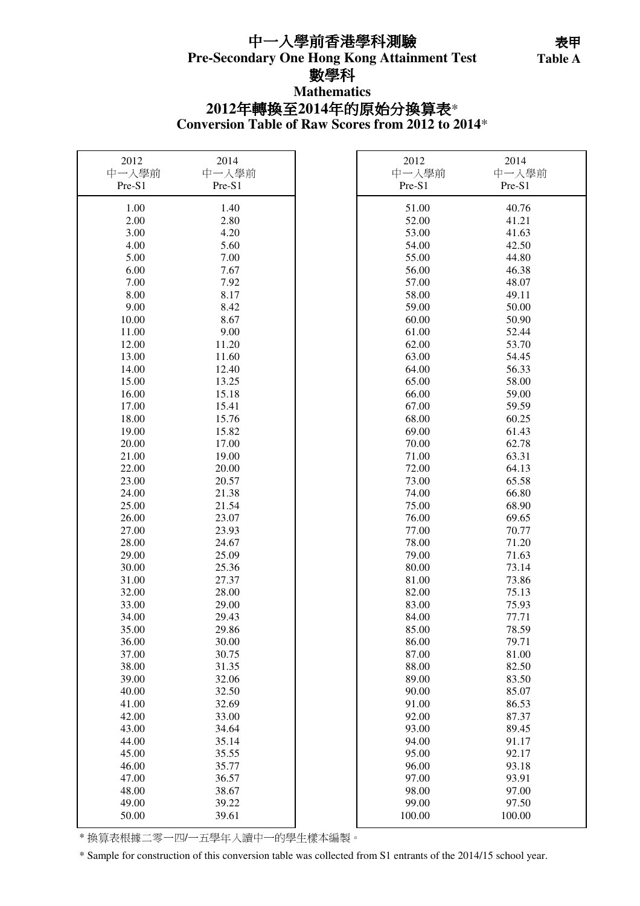## **Pre-Secondary One Hong Kong Attainment Test** 中一入學前香港學科測驗 數學科 **Mathematics**

**Table A**  表甲 Table A

# **Conversion Table of Raw Scores from 2012 to 2014**\* **2012**年轉換至**2014**年的原始分換算表\*

| 2012<br>中一入學前<br>Pre-S1 | 2014<br>中一入學前<br>Pre-S1 | 2012<br>中一入學前<br>Pre-S1 | 2014<br>中一入學前<br>Pre-S1 |
|-------------------------|-------------------------|-------------------------|-------------------------|
| 1.00                    | 1.40                    | 51.00                   | 40.76                   |
| 2.00                    | 2.80                    | 52.00                   | 41.21                   |
| 3.00                    | 4.20                    | 53.00                   | 41.63                   |
| 4.00                    | 5.60                    | 54.00                   | 42.50                   |
| 5.00                    | 7.00                    | 55.00                   | 44.80                   |
| 6.00                    | 7.67                    | 56.00                   | 46.38                   |
| 7.00                    | 7.92                    | 57.00                   | 48.07                   |
| 8.00                    | 8.17                    | 58.00                   | 49.11                   |
| 9.00                    | 8.42                    | 59.00                   | 50.00                   |
| 10.00                   | 8.67                    | 60.00                   | 50.90                   |
| 11.00                   | 9.00                    | 61.00                   | 52.44                   |
| 12.00                   | 11.20                   | 62.00                   | 53.70                   |
| 13.00                   | 11.60                   | 63.00                   | 54.45                   |
| 14.00                   | 12.40                   | 64.00                   | 56.33                   |
| 15.00                   | 13.25                   | 65.00                   | 58.00                   |
| 16.00                   | 15.18                   | 66.00                   | 59.00                   |
| 17.00                   | 15.41                   | 67.00                   | 59.59                   |
| 18.00                   | 15.76                   | 68.00                   | 60.25                   |
| 19.00                   | 15.82                   | 69.00                   | 61.43                   |
| 20.00                   | 17.00                   | 70.00                   | 62.78                   |
| 21.00                   | 19.00                   | 71.00                   | 63.31                   |
| 22.00                   | 20.00                   | 72.00                   | 64.13                   |
| 23.00                   | 20.57                   | 73.00                   | 65.58                   |
| 24.00                   | 21.38                   | 74.00                   | 66.80                   |
| 25.00                   | 21.54                   | 75.00                   | 68.90                   |
| 26.00                   | 23.07                   | 76.00                   | 69.65                   |
| 27.00                   | 23.93                   | 77.00                   | 70.77                   |
| 28.00                   | 24.67                   | 78.00                   | 71.20                   |
| 29.00                   | 25.09                   | 79.00                   | 71.63                   |
| 30.00                   | 25.36                   | 80.00                   | 73.14                   |
| 31.00                   | 27.37                   | 81.00                   | 73.86                   |
| 32.00                   | 28.00                   | 82.00                   | 75.13                   |
| 33.00                   | 29.00                   | 83.00                   | 75.93                   |
| 34.00                   | 29.43                   | 84.00                   | 77.71                   |
| 35.00                   | 29.86                   | 85.00                   | 78.59<br>79.71          |
| 36.00                   | 30.00                   | 86.00<br>87.00          |                         |
| 37.00<br>38.00          | 30.75<br>31.35          | 88.00                   | 81.00<br>82.50          |
| 39.00                   | 32.06                   | 89.00                   | 83.50                   |
| 40.00                   | 32.50                   | 90.00                   | 85.07                   |
| 41.00                   | 32.69                   | 91.00                   | 86.53                   |
| 42.00                   | 33.00                   | 92.00                   | 87.37                   |
| 43.00                   | 34.64                   | 93.00                   | 89.45                   |
| 44.00                   | 35.14                   | 94.00                   | 91.17                   |
| 45.00                   | 35.55                   | 95.00                   | 92.17                   |
| 46.00                   | 35.77                   | 96.00                   | 93.18                   |
| 47.00                   | 36.57                   | 97.00                   | 93.91                   |
| 48.00                   | 38.67                   | 98.00                   | 97.00                   |
| 49.00                   | 39.22                   | 99.00                   | 97.50                   |
| 50.00                   | 39.61                   | 100.00                  | 100.00                  |

\* 換算表根據二零一四/一五學年入讀中一的學生樣本編製。